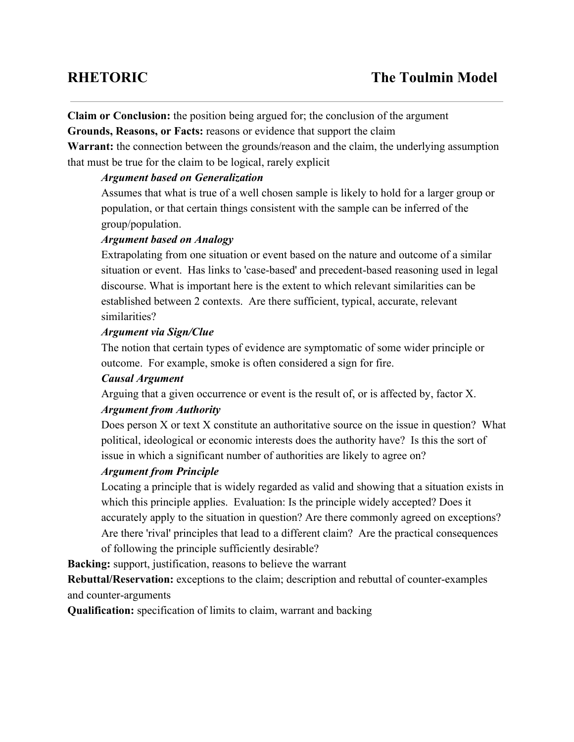**Claim or Conclusion:** the position being argued for; the conclusion of the argument

**Grounds, Reasons, or Facts:**reasons or evidence that support the claim

**Warrant:** the connection between the grounds/reason and the claim, the underlying assumption that must be true for the claim to be logical, rarely explicit

# *Argument based on Generalization*

Assumes that what is true of a well chosen sample is likely to hold for a larger group or population, or that certain things consistent with the sample can be inferred of the group/population.

### *Argument based on Analogy*

Extrapolating from one situation or event based on the nature and outcome of a similar situation or event. Has links to 'case-based' and precedent-based reasoning used in legal discourse. What is important here is the extent to which relevant similarities can be established between 2 contexts. Are there sufficient, typical, accurate, relevant similarities?

# *Argument via Sign/Clue*

The notion that certain types of evidence are symptomatic of some wider principle or outcome. For example, smoke is often considered a sign for fire.

# *Causal Argument*

Arguing that a given occurrence or event is the result of, or is affected by, factor X.

# *Argument from Authority*

Does person X or text X constitute an authoritative source on the issue in question? What political, ideological or economic interests does the authority have? Is this the sort of issue in which a significant number of authorities are likely to agree on?

# *Argument from Principle*

Locating a principle that is widely regarded as valid and showing that a situation exists in which this principle applies. Evaluation: Is the principle widely accepted? Does it accurately apply to the situation in question? Are there commonly agreed on exceptions? Are there 'rival' principles that lead to a different claim? Are the practical consequences of following the principle sufficiently desirable?

**Backing:** support, justification, reasons to believe the warrant

**Rebuttal/Reservation:** exceptions to the claim; description and rebuttal of counter-examples and counter-arguments

**Qualification:**specification of limits to claim, warrant and backing